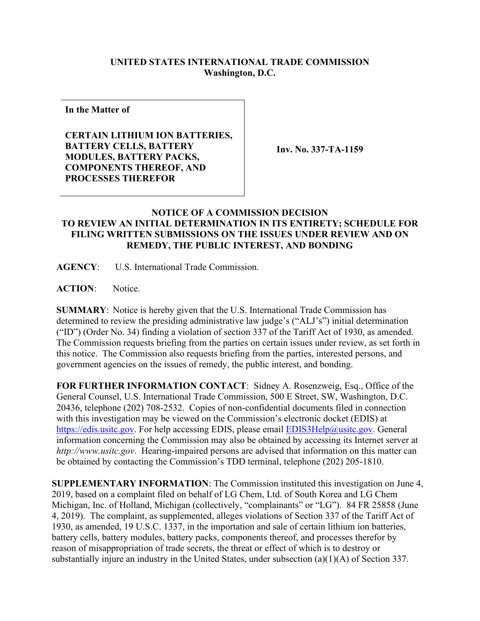# **UNITED STATES INTERNATIONAL TRADE COMMISSION Washington, D.C.**

**In the Matter of**

**CERTAIN LITHIUM ION BATTERIES, BATTERY CELLS, BATTERY MODULES, BATTERY PACKS, COMPONENTS THEREOF, AND PROCESSES THEREFOR**

**Inv. No. 337-TA-1159**

## **NOTICE OF A COMMISSION DECISION TO REVIEW AN INITIAL DETERMINATION IN ITS ENTIRETY; SCHEDULE FOR FILING WRITTEN SUBMISSIONS ON THE ISSUES UNDER REVIEW AND ON REMEDY, THE PUBLIC INTEREST, AND BONDING**

**AGENCY**: U.S. International Trade Commission.

**ACTION**: Notice.

**SUMMARY**: Notice is hereby given that the U.S. International Trade Commission has determined to review the presiding administrative law judge's ("ALJ's") initial determination ("ID") (Order No. 34) finding a violation of section 337 of the Tariff Act of 1930, as amended. The Commission requests briefing from the parties on certain issues under review, as set forth in this notice. The Commission also requests briefing from the parties, interested persons, and government agencies on the issues of remedy, the public interest, and bonding.

**FOR FURTHER INFORMATION CONTACT**: Sidney A. Rosenzweig, Esq., Office of the General Counsel, U.S. International Trade Commission, 500 E Street, SW, Washington, D.C. 20436, telephone (202) 708-2532. Copies of non-confidential documents filed in connection with this investigation may be viewed on the Commission's electronic docket (EDIS) at [https://edis.usitc.gov.](https://edis.usitc.gov/) For help accessing EDIS, please email [EDIS3Help@usitc.gov.](mailto:EDIS3Help@usitc.gov) General information concerning the Commission may also be obtained by accessing its Internet server at *http://www.usitc.gov*. Hearing-impaired persons are advised that information on this matter can be obtained by contacting the Commission's TDD terminal, telephone (202) 205-1810.

**SUPPLEMENTARY INFORMATION**: The Commission instituted this investigation on June 4, 2019, based on a complaint filed on behalf of LG Chem, Ltd. of South Korea and LG Chem Michigan, Inc. of Holland, Michigan (collectively, "complainants" or "LG"). 84 FR 25858 (June 4, 2019). The complaint, as supplemented, alleges violations of Section 337 of the Tariff Act of 1930, as amended, 19 U.S.C. 1337, in the importation and sale of certain lithium ion batteries, battery cells, battery modules, battery packs, components thereof, and processes therefor by reason of misappropriation of trade secrets, the threat or effect of which is to destroy or substantially injure an industry in the United States, under subsection (a)(1)(A) of Section 337.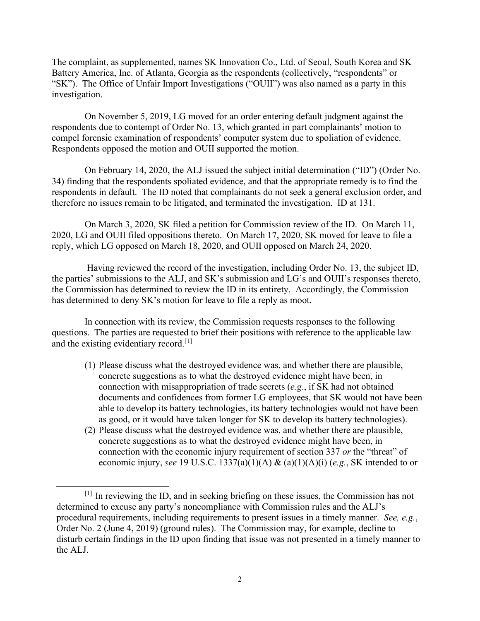The complaint, as supplemented, names SK Innovation Co., Ltd. of Seoul, South Korea and SK Battery America, Inc. of Atlanta, Georgia as the respondents (collectively, "respondents" or "SK"). The Office of Unfair Import Investigations ("OUII") was also named as a party in this investigation.

On November 5, 2019, LG moved for an order entering default judgment against the respondents due to contempt of Order No. 13, which granted in part complainants' motion to compel forensic examination of respondents' computer system due to spoliation of evidence. Respondents opposed the motion and OUII supported the motion.

On February 14, 2020, the ALJ issued the subject initial determination ("ID") (Order No. 34) finding that the respondents spoliated evidence, and that the appropriate remedy is to find the respondents in default. The ID noted that complainants do not seek a general exclusion order, and therefore no issues remain to be litigated, and terminated the investigation. ID at 131.

On March 3, 2020, SK filed a petition for Commission review of the ID. On March 11, 2020, LG and OUII filed oppositions thereto. On March 17, 2020, SK moved for leave to file a reply, which LG opposed on March 18, 2020, and OUII opposed on March 24, 2020.

Having reviewed the record of the investigation, including Order No. 13, the subject ID, the parties' submissions to the ALJ, and SK's submission and LG's and OUII's responses thereto, the Commission has determined to review the ID in its entirety. Accordingly, the Commission has determined to deny SK's motion for leave to file a reply as moot.

In connection with its review, the Commission requests responses to the following questions. The parties are requested to brief their positions with reference to the applicable law and the existing evidentiary record.<sup>[[1\]](#page-1-0)</sup>

- (1) Please discuss what the destroyed evidence was, and whether there are plausible, concrete suggestions as to what the destroyed evidence might have been, in connection with misappropriation of trade secrets (*e.g.*, if SK had not obtained documents and confidences from former LG employees, that SK would not have been able to develop its battery technologies, its battery technologies would not have been as good, or it would have taken longer for SK to develop its battery technologies).
- (2) Please discuss what the destroyed evidence was, and whether there are plausible, concrete suggestions as to what the destroyed evidence might have been, in connection with the economic injury requirement of section 337 *or* the "threat" of economic injury, *see* 19 U.S.C. 1337(a)(1)(A) & (a)(1)(A)(i) (*e.g.*, SK intended to or

<span id="page-1-0"></span><sup>[1]</sup> In reviewing the ID, and in seeking briefing on these issues, the Commission has not determined to excuse any party's noncompliance with Commission rules and the ALJ's procedural requirements, including requirements to present issues in a timely manner. *See, e.g.*, Order No. 2 (June 4, 2019) (ground rules). The Commission may, for example, decline to disturb certain findings in the ID upon finding that issue was not presented in a timely manner to the ALJ.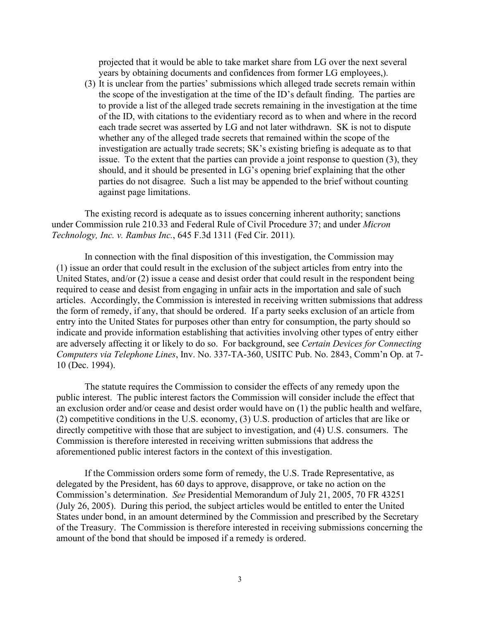projected that it would be able to take market share from LG over the next several years by obtaining documents and confidences from former LG employees,).

(3) It is unclear from the parties' submissions which alleged trade secrets remain within the scope of the investigation at the time of the ID's default finding. The parties are to provide a list of the alleged trade secrets remaining in the investigation at the time of the ID, with citations to the evidentiary record as to when and where in the record each trade secret was asserted by LG and not later withdrawn. SK is not to dispute whether any of the alleged trade secrets that remained within the scope of the investigation are actually trade secrets; SK's existing briefing is adequate as to that issue. To the extent that the parties can provide a joint response to question (3), they should, and it should be presented in LG's opening brief explaining that the other parties do not disagree. Such a list may be appended to the brief without counting against page limitations.

The existing record is adequate as to issues concerning inherent authority; sanctions under Commission rule 210.33 and Federal Rule of Civil Procedure 37; and under *Micron Technology, Inc. v. Rambus Inc.*, 645 F.3d 1311 (Fed Cir. 2011).

In connection with the final disposition of this investigation, the Commission may (1) issue an order that could result in the exclusion of the subject articles from entry into the United States, and/or (2) issue a cease and desist order that could result in the respondent being required to cease and desist from engaging in unfair acts in the importation and sale of such articles. Accordingly, the Commission is interested in receiving written submissions that address the form of remedy, if any, that should be ordered. If a party seeks exclusion of an article from entry into the United States for purposes other than entry for consumption, the party should so indicate and provide information establishing that activities involving other types of entry either are adversely affecting it or likely to do so. For background, see *Certain Devices for Connecting Computers via Telephone Lines*, Inv. No. 337-TA-360, USITC Pub. No. 2843, Comm'n Op. at 7- 10 (Dec. 1994).

The statute requires the Commission to consider the effects of any remedy upon the public interest. The public interest factors the Commission will consider include the effect that an exclusion order and/or cease and desist order would have on (1) the public health and welfare, (2) competitive conditions in the U.S. economy, (3) U.S. production of articles that are like or directly competitive with those that are subject to investigation, and (4) U.S. consumers. The Commission is therefore interested in receiving written submissions that address the aforementioned public interest factors in the context of this investigation.

If the Commission orders some form of remedy, the U.S. Trade Representative, as delegated by the President, has 60 days to approve, disapprove, or take no action on the Commission's determination. *See* Presidential Memorandum of July 21, 2005, 70 FR 43251 (July 26, 2005). During this period, the subject articles would be entitled to enter the United States under bond, in an amount determined by the Commission and prescribed by the Secretary of the Treasury. The Commission is therefore interested in receiving submissions concerning the amount of the bond that should be imposed if a remedy is ordered.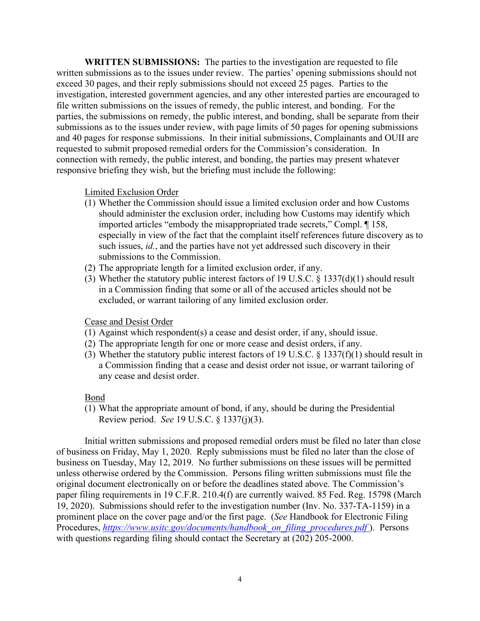**WRITTEN SUBMISSIONS:** The parties to the investigation are requested to file written submissions as to the issues under review. The parties' opening submissions should not exceed 30 pages, and their reply submissions should not exceed 25 pages. Parties to the investigation, interested government agencies, and any other interested parties are encouraged to file written submissions on the issues of remedy, the public interest, and bonding. For the parties, the submissions on remedy, the public interest, and bonding, shall be separate from their submissions as to the issues under review, with page limits of 50 pages for opening submissions and 40 pages for response submissions. In their initial submissions, Complainants and OUII are requested to submit proposed remedial orders for the Commission's consideration. In connection with remedy, the public interest, and bonding, the parties may present whatever responsive briefing they wish, but the briefing must include the following:

## Limited Exclusion Order

- (1) Whether the Commission should issue a limited exclusion order and how Customs should administer the exclusion order, including how Customs may identify which imported articles "embody the misappropriated trade secrets," Compl. ¶ 158, especially in view of the fact that the complaint itself references future discovery as to such issues, *id.*, and the parties have not yet addressed such discovery in their submissions to the Commission.
- (2) The appropriate length for a limited exclusion order, if any.
- (3) Whether the statutory public interest factors of 19 U.S.C. § 1337(d)(1) should result in a Commission finding that some or all of the accused articles should not be excluded, or warrant tailoring of any limited exclusion order.

### Cease and Desist Order

- (1) Against which respondent(s) a cease and desist order, if any, should issue.
- (2) The appropriate length for one or more cease and desist orders, if any.
- (3) Whether the statutory public interest factors of 19 U.S.C. § 1337(f)(1) should result in a Commission finding that a cease and desist order not issue, or warrant tailoring of any cease and desist order.

### Bond

(1) What the appropriate amount of bond, if any, should be during the Presidential Review period. *See* 19 U.S.C. § 1337(j)(3).

Initial written submissions and proposed remedial orders must be filed no later than close of business on Friday, May 1, 2020. Reply submissions must be filed no later than the close of business on Tuesday, May 12, 2019. No further submissions on these issues will be permitted unless otherwise ordered by the Commission. Persons filing written submissions must file the original document electronically on or before the deadlines stated above. The Commission's paper filing requirements in 19 C.F.R. 210.4(f) are currently waived. 85 Fed. Reg. 15798 (March 19, 2020). Submissions should refer to the investigation number (Inv. No. 337-TA-1159) in a prominent place on the cover page and/or the first page. (*See* Handbook for Electronic Filing Procedures, *[https://www.usitc.gov/documents/handbook\\_on\\_filing\\_procedures.pdf](https://www.usitc.gov/documents/handbook_on_filing_procedures.pdf)* ). Persons with questions regarding filing should contact the Secretary at (202) 205-2000.